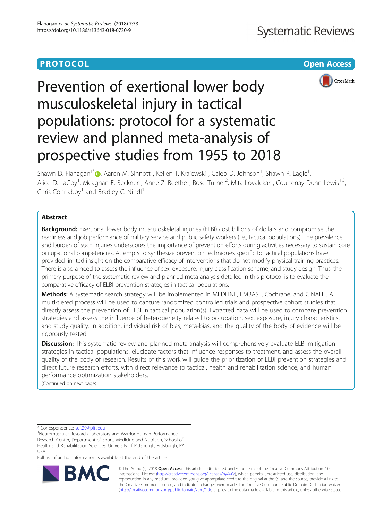## **PROTOCOL CONSUMING THE CONSUMING TEACHER CONSUMING THE CONSUMING TEACHER CONSUMING THE CONSUMING TEACHER CONSUMING THE CONSUMING TEACHER CONSUMING THE CONSUMING THE CONSUMING TEACHER CONSUMING THE CONSUMING THE CONSUMIN**



# Prevention of exertional lower body musculoskeletal injury in tactical populations: protocol for a systematic review and planned meta-analysis of prospective studies from 1955 to 2018

Shawn D. Flanagan<sup>1\*</sup>�[,](http://orcid.org/0000-0002-6531-4567) Aaron M. Sinnott<sup>1</sup>, Kellen T. Krajewski<sup>1</sup>, Caleb D. Johnson<sup>1</sup>, Shawn R. Eagle<sup>1</sup> , Alice D. LaGoy<sup>1</sup>, Meaghan E. Beckner<sup>1</sup>, Anne Z. Beethe<sup>1</sup>, Rose Turner<sup>2</sup>, Mita Lovalekar<sup>1</sup>, Courtenay Dunn-Lewis<sup>1,3</sup>, Chris Connaboy<sup>1</sup> and Bradley C. Nindl<sup>1</sup>

## Abstract

Background: Exertional lower body musculoskeletal injuries (ELBI) cost billions of dollars and compromise the readiness and job performance of military service and public safety workers (i.e., tactical populations). The prevalence and burden of such injuries underscores the importance of prevention efforts during activities necessary to sustain core occupational competencies. Attempts to synthesize prevention techniques specific to tactical populations have provided limited insight on the comparative efficacy of interventions that do not modify physical training practices. There is also a need to assess the influence of sex, exposure, injury classification scheme, and study design. Thus, the primary purpose of the systematic review and planned meta-analysis detailed in this protocol is to evaluate the comparative efficacy of ELBI prevention strategies in tactical populations.

Methods: A systematic search strategy will be implemented in MEDLINE, EMBASE, Cochrane, and CINAHL. A multi-tiered process will be used to capture randomized controlled trials and prospective cohort studies that directly assess the prevention of ELBI in tactical population(s). Extracted data will be used to compare prevention strategies and assess the influence of heterogeneity related to occupation, sex, exposure, injury characteristics, and study quality. In addition, individual risk of bias, meta-bias, and the quality of the body of evidence will be rigorously tested.

Discussion: This systematic review and planned meta-analysis will comprehensively evaluate ELBI mitigation strategies in tactical populations, elucidate factors that influence responses to treatment, and assess the overall quality of the body of research. Results of this work will guide the prioritization of ELBI prevention strategies and direct future research efforts, with direct relevance to tactical, health and rehabilitation science, and human performance optimization stakeholders.

(Continued on next page)

\* Correspondence: [sdf.29@pitt.edu](mailto:sdf.29@pitt.edu) <sup>1</sup>

<sup>1</sup>Neuromuscular Research Laboratory and Warrior Human Performance Research Center, Department of Sports Medicine and Nutrition, School of Health and Rehabilitation Sciences, University of Pittsburgh, Pittsburgh, PA, USA

Full list of author information is available at the end of the article



© The Author(s). 2018 Open Access This article is distributed under the terms of the Creative Commons Attribution 4.0 International License [\(http://creativecommons.org/licenses/by/4.0/](http://creativecommons.org/licenses/by/4.0/)), which permits unrestricted use, distribution, and reproduction in any medium, provided you give appropriate credit to the original author(s) and the source, provide a link to the Creative Commons license, and indicate if changes were made. The Creative Commons Public Domain Dedication waiver [\(http://creativecommons.org/publicdomain/zero/1.0/](http://creativecommons.org/publicdomain/zero/1.0/)) applies to the data made available in this article, unless otherwise stated.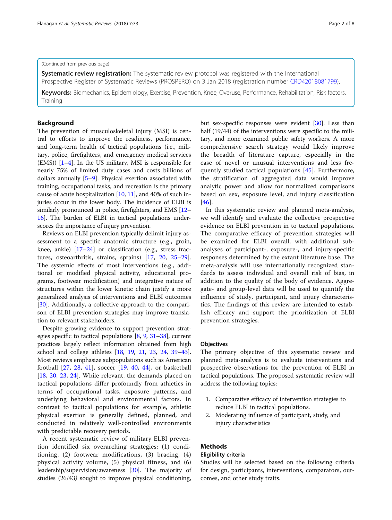#### (Continued from previous page)

**Systematic review registration:** The systematic review protocol was registered with the International Prospective Register of Systematic Reviews (PROSPERO) on 3 Jan 2018 (registration number [CRD42018081799](https://www.crd.york.ac.uk/prospero/display_record.php?RecordID=81799)).

Keywords: Biomechanics, Epidemiology, Exercise, Prevention, Knee, Overuse, Performance, Rehabilitation, Risk factors, **Training** 

## Background

The prevention of musculoskeletal injury (MSI) is central to efforts to improve the readiness, performance, and long-term health of tactical populations (i.e., military, police, firefighters, and emergency medical services (EMS)) [[1](#page-6-0)–[4](#page-6-0)]. In the US military, MSI is responsible for nearly 75% of limited duty cases and costs billions of dollars annually [\[5](#page-6-0)–[9\]](#page-6-0). Physical exertion associated with training, occupational tasks, and recreation is the primary cause of acute hospitalization [[10](#page-6-0), [11](#page-6-0)], and 40% of such injuries occur in the lower body. The incidence of ELBI is similarly pronounced in police, firefighters, and EMS [\[12](#page-6-0)– [16](#page-6-0)]. The burden of ELBI in tactical populations underscores the importance of injury prevention.

Reviews on ELBI prevention typically delimit injury assessment to a specific anatomic structure (e.g., groin, knee, ankle) [[17](#page-6-0)–[24\]](#page-6-0) or classification (e.g., stress fractures, osteoarthritis, strains, sprains) [[17,](#page-6-0) [20,](#page-6-0) [25](#page-6-0)–[29](#page-6-0)]. The systemic effects of most interventions (e.g., additional or modified physical activity, educational programs, footwear modification) and integrative nature of structures within the lower kinetic chain justify a more generalized analysis of interventions and ELBI outcomes [[30\]](#page-6-0). Additionally, a collective approach to the comparison of ELBI prevention strategies may improve translation to relevant stakeholders.

Despite growing evidence to support prevention strategies specific to tactical populations [[8](#page-6-0), [9](#page-6-0), [31](#page-6-0)–[38\]](#page-7-0), current practices largely reflect information obtained from high school and college athletes [[18](#page-6-0), [19,](#page-6-0) [21](#page-6-0), [23,](#page-6-0) [24](#page-6-0), [39](#page-7-0)–[43](#page-7-0)]. Most reviews emphasize subpopulations such as American football [[27,](#page-6-0) [28](#page-6-0), [41](#page-7-0)], soccer [[19,](#page-6-0) [40](#page-7-0), [44](#page-7-0)], or basketball [[18,](#page-6-0) [20](#page-6-0), [23](#page-6-0), [24\]](#page-6-0). While relevant, the demands placed on tactical populations differ profoundly from athletics in terms of occupational tasks, exposure patterns, and underlying behavioral and environmental factors. In contrast to tactical populations for example, athletic physical exertion is generally defined, planned, and conducted in relatively well-controlled environments with predictable recovery periods.

A recent systematic review of military ELBI prevention identified six overarching strategies: (1) conditioning, (2) footwear modifications, (3) bracing, (4) physical activity volume, (5) physical fitness, and (6) leadership/supervision/awareness [[30](#page-6-0)]. The majority of studies (26/43) sought to improve physical conditioning,

but sex-specific responses were evident [[30](#page-6-0)]. Less than half (19/44) of the interventions were specific to the military, and none examined public safety workers. A more comprehensive search strategy would likely improve the breadth of literature capture, especially in the case of novel or unusual interventions and less frequently studied tactical populations [[45\]](#page-7-0). Furthermore, the stratification of aggregated data would improve analytic power and allow for normalized comparisons based on sex, exposure level, and injury classification [[46\]](#page-7-0).

In this systematic review and planned meta-analysis, we will identify and evaluate the collective prospective evidence on ELBI prevention in to tactical populations. The comparative efficacy of prevention strategies will be examined for ELBI overall, with additional subanalyses of participant-, exposure-, and injury-specific responses determined by the extant literature base. The meta-analysis will use internationally recognized standards to assess individual and overall risk of bias, in addition to the quality of the body of evidence. Aggregate- and group-level data will be used to quantify the influence of study, participant, and injury characteristics. The findings of this review are intended to establish efficacy and support the prioritization of ELBI prevention strategies.

## **Objectives**

The primary objective of this systematic review and planned meta-analysis is to evaluate interventions and prospective observations for the prevention of ELBI in tactical populations. The proposed systematic review will address the following topics:

- 1. Comparative efficacy of intervention strategies to reduce ELBI in tactical populations.
- 2. Moderating influence of participant, study, and injury characteristics

## **Methods**

## Eligibility criteria

Studies will be selected based on the following criteria for design, participants, interventions, comparators, outcomes, and other study traits.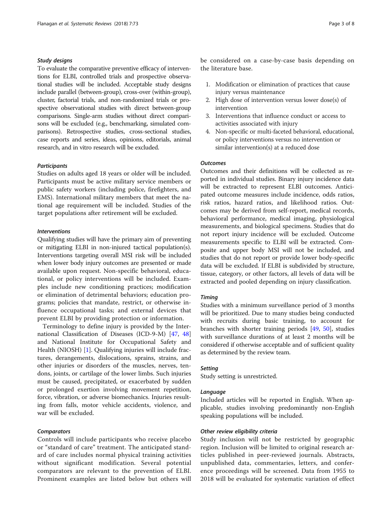## Study designs

To evaluate the comparative preventive efficacy of interventions for ELBI, controlled trials and prospective observational studies will be included. Acceptable study designs include parallel (between-group), cross-over (within-group), cluster, factorial trials, and non-randomized trials or prospective observational studies with direct between-group comparisons. Single-arm studies without direct comparisons will be excluded (e.g., benchmarking, simulated comparisons). Retrospective studies, cross-sectional studies, case reports and series, ideas, opinions, editorials, animal research, and in vitro research will be excluded.

## **Participants**

Studies on adults aged 18 years or older will be included. Participants must be active military service members or public safety workers (including police, firefighters, and EMS). International military members that meet the national age requirement will be included. Studies of the target populations after retirement will be excluded.

## Interventions

Qualifying studies will have the primary aim of preventing or mitigating ELBI in non-injured tactical population(s). Interventions targeting overall MSI risk will be included when lower body injury outcomes are presented or made available upon request. Non-specific behavioral, educational, or policy interventions will be included. Examples include new conditioning practices; modification or elimination of detrimental behaviors; education programs; policies that mandate, restrict, or otherwise influence occupational tasks; and external devices that prevent ELBI by providing protection or information.

Terminology to define injury is provided by the International Classification of Diseases (ICD-9-M) [\[47](#page-7-0), [48](#page-7-0)] and National Institute for Occupational Safety and Health (NIOSH) [\[1](#page-6-0)]. Qualifying injuries will include fractures, derangements, dislocations, sprains, strains, and other injuries or disorders of the muscles, nerves, tendons, joints, or cartilage of the lower limbs. Such injuries must be caused, precipitated, or exacerbated by sudden or prolonged exertion involving movement repetition, force, vibration, or adverse biomechanics. Injuries resulting from falls, motor vehicle accidents, violence, and war will be excluded.

## **Comparators**

Controls will include participants who receive placebo or "standard of care" treatment. The anticipated standard of care includes normal physical training activities without significant modification. Several potential comparators are relevant to the prevention of ELBI. Prominent examples are listed below but others will be considered on a case-by-case basis depending on the literature base.

- 1. Modification or elimination of practices that cause injury versus maintenance
- 2. High dose of intervention versus lower dose(s) of intervention
- 3. Interventions that influence conduct or access to activities associated with injury
- 4. Non-specific or multi-faceted behavioral, educational, or policy interventions versus no intervention or similar intervention(s) at a reduced dose

## **Outcomes**

Outcomes and their definitions will be collected as reported in individual studies. Binary injury incidence data will be extracted to represent ELBI outcomes. Anticipated outcome measures include incidence, odds ratios, risk ratios, hazard ratios, and likelihood ratios. Outcomes may be derived from self-report, medical records, behavioral performance, medical imaging, physiological measurements, and biological specimens. Studies that do not report injury incidence will be excluded. Outcome measurements specific to ELBI will be extracted. Composite and upper body MSI will not be included, and studies that do not report or provide lower body-specific data will be excluded. If ELBI is subdivided by structure, tissue, category, or other factors, all levels of data will be extracted and pooled depending on injury classification.

## Timing

Studies with a minimum surveillance period of 3 months will be prioritized. Due to many studies being conducted with recruits during basic training, to account for branches with shorter training periods [[49](#page-7-0), [50\]](#page-7-0), studies with surveillance durations of at least 2 months will be considered if otherwise acceptable and of sufficient quality as determined by the review team.

## **Setting**

Study setting is unrestricted.

#### Language

Included articles will be reported in English. When applicable, studies involving predominantly non-English speaking populations will be included.

## Other review eligibility criteria

Study inclusion will not be restricted by geographic region. Inclusion will be limited to original research articles published in peer-reviewed journals. Abstracts, unpublished data, commentaries, letters, and conference proceedings will be screened. Data from 1955 to 2018 will be evaluated for systematic variation of effect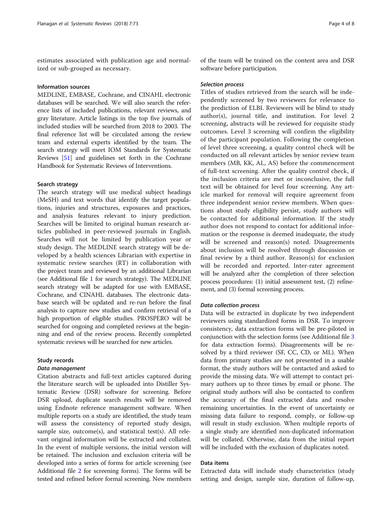estimates associated with publication age and normalized or sub-grouped as necessary.

## Information sources

MEDLINE, EMBASE, Cochrane, and CINAHL electronic databases will be searched. We will also search the reference lists of included publications, relevant reviews, and gray literature. Article listings in the top five journals of included studies will be searched from 2018 to 2003. The final reference list will be circulated among the review team and external experts identified by the team. The search strategy will meet IOM Standards for Systematic Reviews [[51\]](#page-7-0) and guidelines set forth in the Cochrane Handbook for Systematic Reviews of Interventions.

## Search strategy

The search strategy will use medical subject headings (MeSH) and text words that identify the target populations, injuries and structures, exposures and practices, and analysis features relevant to injury prediction. Searches will be limited to original human research articles published in peer-reviewed journals in English. Searches will not be limited by publication year or study design. The MEDLINE search strategy will be developed by a health sciences Librarian with expertise in systematic review searches (RT) in collaboration with the project team and reviewed by an additional Librarian (see Additional file [1](#page-5-0) for search strategy). The MEDLINE search strategy will be adapted for use with EMBASE, Cochrane, and CINAHL databases. The electronic database search will be updated and re-run before the final analysis to capture new studies and confirm retrieval of a high proportion of eligible studies. PROSPERO will be searched for ongoing and completed reviews at the beginning and end of the review process. Recently completed systematic reviews will be searched for new articles.

## Study records

## Data management

Citation abstracts and full-text articles captured during the literature search will be uploaded into Distiller Systematic Review (DSR) software for screening. Before DSR upload, duplicate search results will be removed using Endnote reference management software. When multiple reports on a study are identified, the study team will assess the consistency of reported study design, sample size, outcome(s), and statistical test(s). All relevant original information will be extracted and collated. In the event of multiple versions, the initial version will be retained. The inclusion and exclusion criteria will be developed into a series of forms for article screening (see Additional file [2](#page-5-0) for screening forms). The forms will be tested and refined before formal screening. New members

of the team will be trained on the content area and DSR software before participation.

#### Selection process

Titles of studies retrieved from the search will be independently screened by two reviewers for relevance to the prediction of ELBI. Reviewers will be blind to study author(s), journal title, and institution. For level 2 screening, abstracts will be reviewed for requisite study outcomes. Level 3 screening will confirm the eligibility of the participant population. Following the completion of level three screening, a quality control check will be conducted on all relevant articles by senior review team members (MB, KK, AL, AS) before the commencement of full-text screening. After the quality control check, if the inclusion criteria are met or inconclusive, the full text will be obtained for level four screening. Any article marked for removal will require agreement from three independent senior review members. When questions about study eligibility persist, study authors will be contacted for additional information. If the study author does not respond to contact for additional information or the response is deemed inadequate, the study will be screened and reason(s) noted. Disagreements about inclusion will be resolved through discussion or final review by a third author. Reason(s) for exclusion will be recorded and reported. Inter-rater agreement will be analyzed after the completion of three selection process procedures: (1) initial assessment test, (2) refinement, and (3) formal screening process.

## Data collection process

Data will be extracted in duplicate by two independent reviewers using standardized forms in DSR. To improve consistency, data extraction forms will be pre-piloted in conjunction with the selection forms (see Additional file [3](#page-5-0) for data extraction forms). Disagreements will be resolved by a third reviewer (SF, CC, CD, or ML). When data from primary studies are not presented in a usable format, the study authors will be contacted and asked to provide the missing data. We will attempt to contact primary authors up to three times by email or phone. The original study authors will also be contacted to confirm the accuracy of the final extracted data and resolve remaining uncertainties. In the event of uncertainty or missing data failure to respond, comply, or follow-up will result in study exclusion. When multiple reports of a single study are identified non-duplicated information will be collated. Otherwise, data from the initial report will be included with the exclusion of duplicates noted.

## Data items

Extracted data will include study characteristics (study setting and design, sample size, duration of follow-up,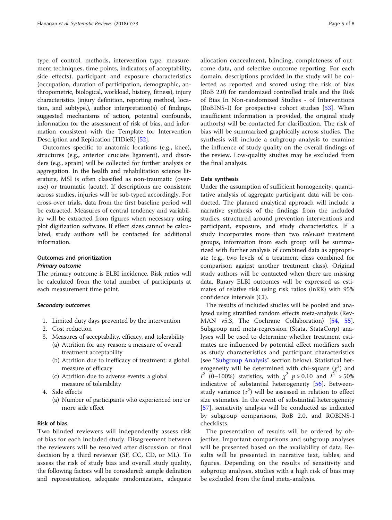type of control, methods, intervention type, measurement techniques, time points, indicators of acceptability, side effects), participant and exposure characteristics (occupation, duration of participation, demographic, anthropometric, biological, workload, history, fitness), injury characteristics (injury definition, reporting method, location, and subtype,), author interpretation(s) of findings, suggested mechanisms of action, potential confounds, information for the assessment of risk of bias, and information consistent with the Template for Intervention Description and Replication (TIDieR) [\[52\]](#page-7-0).

Outcomes specific to anatomic locations (e.g., knee), structures (e.g., anterior cruciate ligament), and disorders (e.g., sprain) will be collected for further analysis or aggregation. In the health and rehabilitation science literature, MSI is often classified as non-traumatic (overuse) or traumatic (acute). If descriptions are consistent across studies, injuries will be sub-typed accordingly. For cross-over trials, data from the first baseline period will be extracted. Measures of central tendency and variability will be extracted from figures when necessary using plot digitization software. If effect sizes cannot be calculated, study authors will be contacted for additional information.

## Outcomes and prioritization Primary outcome

The primary outcome is ELBI incidence. Risk ratios will be calculated from the total number of participants at each measurement time point.

## Secondary outcomes

- 1. Limited duty days prevented by the intervention
- 2. Cost reduction
- 3. Measures of acceptability, efficacy, and tolerability (a) Attrition for any reason: a measure of overall treatment acceptability
	- (b) Attrition due to inefficacy of treatment: a global measure of efficacy
	- (c) Attrition due to adverse events: a global measure of tolerability
- 4. Side effects
	- (a) Number of participants who experienced one or more side effect

## Risk of bias

Two blinded reviewers will independently assess risk of bias for each included study. Disagreement between the reviewers will be resolved after discussion or final decision by a third reviewer (SF, CC, CD, or ML). To assess the risk of study bias and overall study quality, the following factors will be considered: sample definition and representation, adequate randomization, adequate allocation concealment, blinding, completeness of outcome data, and selective outcome reporting. For each domain, descriptions provided in the study will be collected as reported and scored using the risk of bias (RoB 2.0) for randomized controlled trials and the Risk of Bias In Non-randomized Studies - of Interventions (RoBINS-I) for prospective cohort studies [\[53](#page-7-0)]. When insufficient information is provided, the original study author(s) will be contacted for clarification. The risk of bias will be summarized graphically across studies. The synthesis will include a subgroup analysis to examine the influence of study quality on the overall findings of the review. Low-quality studies may be excluded from the final analysis.

## Data synthesis

Under the assumption of sufficient homogeneity, quantitative analysis of aggregate participant data will be conducted. The planned analytical approach will include a narrative synthesis of the findings from the included studies, structured around prevention interventions and participant, exposure, and study characteristics. If a study incorporates more than two relevant treatment groups, information from each group will be summarized with further analysis of combined data as appropriate (e.g., two levels of a treatment class combined for comparison against another treatment class). Original study authors will be contacted when there are missing data. Binary ELBI outcomes will be expressed as estimates of relative risk using risk ratios (lnRR) with 95% confidence intervals (CI).

The results of included studies will be pooled and analyzed using stratified random effects meta-analysis (Rev-MAN v5.3, The Cochrane Collaboration) [[54](#page-7-0), [55](#page-7-0)]. Subgroup and meta-regression (Stata, StataCorp) analyses will be used to determine whether treatment estimates are influenced by potential effect modifiers such as study characteristics and participant characteristics (see "[Subgroup Analysis](#page-5-0)" section below). Statistical heterogeneity will be determined with chi-square  $(\chi^2)$  and  $I^2$  (0–100%) statistics, with  $\chi^2$  p > 0.10 and  $I^2$  > 50% indicative of substantial heterogeneity [[56\]](#page-7-0). Betweenstudy variance  $(\tau^2)$  will be assessed in relation to effect size estimates. In the event of substantial heterogeneity [[57\]](#page-7-0), sensitivity analysis will be conducted as indicated by subgroup comparisons, RoB 2.0, and ROBINS-I checklists.

The presentation of results will be ordered by objective. Important comparisons and subgroup analyses will be presented based on the availability of data. Results will be presented in narrative text, tables, and figures. Depending on the results of sensitivity and subgroup analyses, studies with a high risk of bias may be excluded from the final meta-analysis.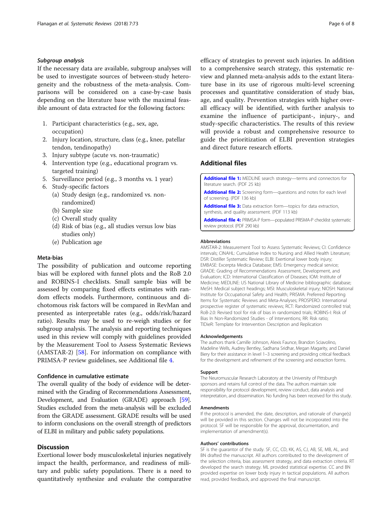## <span id="page-5-0"></span>Subgroup analysis

If the necessary data are available, subgroup analyses will be used to investigate sources of between-study heterogeneity and the robustness of the meta-analysis. Comparisons will be considered on a case-by-case basis depending on the literature base with the maximal feasible amount of data extracted for the following factors:

- 1. Participant characteristics (e.g., sex, age, occupation)
- 2. Injury location, structure, class (e.g., knee, patellar tendon, tendinopathy)
- 3. Injury subtype (acute vs. non-traumatic)
- 4. Intervention type (e.g., educational program vs. targeted training)
- 5. Surveillance period (e.g., 3 months vs. 1 year)
- 6. Study-specific factors
	- (a) Study design (e.g., randomized vs. nonrandomized)
	- (b) Sample size
	- (c) Overall study quality
	- (d) Risk of bias (e.g., all studies versus low bias studies only)
	- (e) Publication age

## Meta-bias

The possibility of publication and outcome reporting bias will be explored with funnel plots and the RoB 2.0 and ROBINS-I checklists. Small sample bias will be assessed by comparing fixed effects estimates with random effects models. Furthermore, continuous and dichotomous risk factors will be compared in RevMan and presented as interpretable rates (e.g., odds/risk/hazard ratio). Results may be used to re-weigh studies or for subgroup analysis. The analysis and reporting techniques used in this review will comply with guidelines provided by the Measurement Tool to Assess Systematic Reviews (AMSTAR-2) [[58](#page-7-0)]. For information on compliance with PRIMSA-P review guidelines, see Additional file 4.

## Confidence in cumulative estimate

The overall quality of the body of evidence will be determined with the Grading of Recommendations Assessment, Development, and Evaluation (GRADE) approach [\[59](#page-7-0)]. Studies excluded from the meta-analysis will be excluded from the GRADE assessment. GRADE results will be used to inform conclusions on the overall strength of predictors of ELBI in military and public safety populations.

## **Discussion**

Exertional lower body musculoskeletal injuries negatively impact the health, performance, and readiness of military and public safety populations. There is a need to quantitatively synthesize and evaluate the comparative

efficacy of strategies to prevent such injuries. In addition to a comprehensive search strategy, this systematic review and planned meta-analysis adds to the extant literature base in its use of rigorous multi-level screening processes and quantitative consideration of study bias, age, and quality. Prevention strategies with higher overall efficacy will be identified, with further analysis to examine the influence of participant-, injury-, and study-specific characteristics. The results of this review will provide a robust and comprehensive resource to guide the prioritization of ELBI prevention strategies and direct future research efforts.

## Additional files

[Additional file 1:](https://doi.org/10.1186/s13643-018-0730-9) MEDLINE search strategy—terms and connectors for literature search. (PDF 25 kb)

[Additional file 2:](https://doi.org/10.1186/s13643-018-0730-9) Screening form-questions and notes for each level of screening. (PDF 136 kb)

[Additional file 3:](https://doi.org/10.1186/s13643-018-0730-9) Data extraction form-topics for data extraction, synthesis, and quality assessment. (PDF 113 kb)

[Additional file 4:](https://doi.org/10.1186/s13643-018-0730-9) PRIMSA-P form-populated PRISMA-P checklist systematic review protocol. (PDF 290 kb)

#### Abbreviations

AMSTAR-2: Measurement Tool to Assess Systematic Reviews; CI: Confidence intervals; CINAHL: Cumulative Index to Nursing and Allied Health Literature; DSR: Distiller Systematic Review; ELBI: Exertional lower body injury; EMBASE: Excerpta Medica Database; EMS: Emergency medical service; GRADE: Grading of Recommendations Assessment, Development, and Evaluation; ICD: International Classification of Diseases; IOM: Institute of Medicine; MEDLINE: US National Library of Medicine bibliographic database; MeSH: Medical subject headings; MSI: Musculoskeletal injury; NIOSH: National Institute for Occupational Safety and Health; PRISMA: Preferred Reporting Items for Systematic Reviews and Meta-Analyses; PROSPERO: International prospective register of systematic reviews; RCT: Randomized controlled trial; RoB-2.0: Revised tool for risk of bias in randomized trials; ROBINS-I: Risk of Bias In Non-Randomized Studies - of Interventions; RR: Risk ratio; TIDieR: Template for Intervention Description and Replication

## Acknowledgements

The authors thank Camille Johnson, Alexis Faunce, Brandon Sciavolino, Madeline Wells, Audrey Bentley, Sadhana Sridhar, Megan Magarity, and Daniel Biery for their assistance in level 1–3 screening and providing critical feedback for the development and refinement of the screening and extraction forms.

#### Support

The Neuromuscular Research Laboratory at the University of Pittsburgh sponsors and retains full control of the data. The authors maintain sole responsibility for protocol development, review conduct, data analysis and interpretation, and dissemination. No funding has been received for this study.

#### **Amendments**

If the protocol is amended, the date, description, and rationale of change(s) will be provided in this section. Changes will not be incorporated into the protocol. SF will be responsible for the approval, documentation, and implementation of amendment(s).

## Authors' contributions

SF is the guarantor of the study. SF, CC, CD, KK, AS, CJ, AB, SE, MB, AL, and BN drafted the manuscript. All authors contributed to the development of the selection criteria, bias assessment strategy, and data extraction criteria. RT developed the search strategy. ML provided statistical expertise. CC and BN provided expertise on lower body injury in tactical populations. All authors read, provided feedback, and approved the final manuscript.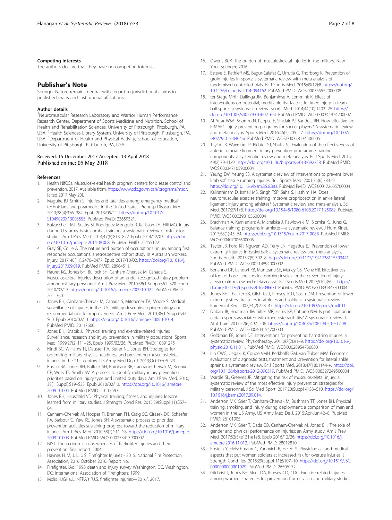#### <span id="page-6-0"></span>Competing interests

The authors declare that they have no competing interests.

## Publisher's Note

Springer Nature remains neutral with regard to jurisdictional claims in published maps and institutional affiliations.

#### Author details

<sup>1</sup>Neuromuscular Research Laboratory and Warrior Human Performance Research Center, Department of Sports Medicine and Nutrition, School of Health and Rehabilitation Sciences, University of Pittsburgh, Pittsburgh, PA, USA. <sup>2</sup>Health Sciences Library System, University of Pittsburgh, Pittsburgh, PA, USA. <sup>3</sup>Department of Health and Physical Activity, School of Education, University of Pittsburgh, Pittsburgh, PA, USA.

## Received: 15 December 2017 Accepted: 13 April 2018 Published online: 05 May 2018

#### References

- Health NIfOSa. Musculoskeletal health program: centers for disease control and prevention. 2017. Available from: <https://www.cdc.gov/niosh/programs/msd/>. [cited 2017 May 20].
- Maguire BJ, Smith S. Injuries and fatalities among emergency medical technicians and paramedics in the United States. Prehosp Disaster Med. 2013;28(4):376–382. Epub 2013/05/11. [https://doi.org/10.1017/](https://doi.org/10.1017/S1049023X13003555) [S1049023X13003555.](https://doi.org/10.1017/S1049023X13003555) PubMed PMID: 23659321.
- 3. Bulzacchelli MT, Sulsky SI, Rodriguez-Monguio R, Karlsson LH, Hill MO. Injury during U.S. army basic combat training: a systematic review of risk factor studies. Am J Prev Med. 2014;47(6):813–822. Epub 2014/12/03. [https://doi.](https://doi.org/10.1016/j.amepre.2014.08.008) [org/10.1016/j.amepre.2014.08.008.](https://doi.org/10.1016/j.amepre.2014.08.008) PubMed PMID: 25455122.
- 4. Gray SE, Collie A. The nature and burden of occupational injury among first responder occupations: a retrospective cohort study in Australian workers. Injury. 2017 48(11):2470–2477. Epub 2017/10/02. [https://doi.org/10.1016/j.](https://doi.org/10.1016/j.injury.2017.09.019) [injury.2017.09.019.](https://doi.org/10.1016/j.injury.2017.09.019) PubMed PMID: 28964511.
- Hauret KG, Jones BH, Bullock SH, Canham-Chervak M, Canada S. Musculoskeletal injuries description of an under-recognized injury problem among military personnel. Am J Prev Med. 2010;38(1 Suppl):S61–S70. Epub 2010/02/13. <https://doi.org/10.1016/j.amepre.2009.10.021>. PubMed PMID: 20117601.
- Jones BH, Canham-Chervak M, Canada S, Mitchener TA, Moore S. Medical surveillance of injuries in the U.S. military descriptive epidemiology and recommendations for improvement. Am J Prev Med. 2010;38(1 Suppl):S42– S60. Epub 2010/02/13. <https://doi.org/10.1016/j.amepre.2009.10.014>. PubMed PMID: 20117600.
- Jones BH, Knapik JJ. Physical training and exercise-related injuries. Surveillance, research and injury prevention in military populations. Sports Med. 1999;27(2):111–25. Epub 1999/03/26. PubMed PMID: 10091275
- 8. Nindl BC, Williams TJ, Deuster PA, Butler NL, Jones BH. Strategies for optimizing military physical readiness and preventing musculoskeletal injuries in the 21st century. US Army Med Dep J. 2013;Oct-Dec:5–23.
- Ruscio BA, Jones BH, Bullock SH, Burnham BR, Canham-Chervak M, Rennix CP, Wells TS, Smith JW. A process to identify military injury prevention priorities based on injury type and limited duty days. Am J Prev Med. 2010; 38(1 Suppl):S19–S33. Epub 2010/02/13. [https://doi.org/10.1016/j.amepre.](https://doi.org/10.1016/j.amepre.2009.10.004) [2009.10.004.](https://doi.org/10.1016/j.amepre.2009.10.004) PubMed PMID: 20117593.
- 10. Jones BH, Hauschild VD. Physical training, fitness, and injuries: lessons learned from military studies. J Strength Cond Res. 2015;29(Suppl 11):S57– 64.
- 11. Canham-Chervak M, Hooper TI, Brennan FH, Craig SC, Girasek DC, Schaefer RA, Barbour G, Yew KS, Jones BH. A systematic process to prioritize prevention activities sustaining progress toward the reduction of military injuries. Am J Prev Med. 2010;38(1):S11–S8. [https://doi.org/10.1016/j.amepre.](https://doi.org/10.1016/j.amepre.2009.10.003) [2009.10.003.](https://doi.org/10.1016/j.amepre.2009.10.003) PubMed PMID: WOS:000273413900002.
- 12. NIST. The economic consequences of firefighter injuries and their prevention: final report. 2004.
- 13. Haynes HJM, J. L. U.S. Firefighter Injuries 2015. National Fire Protection Association, 2016 October 2016. Report No.
- 14. Firefighter. IAo. 1998 death and injury survey Washington, DC. Washington, DC: International Association of Firefighters; 1999.
- 15. Molis HJGHaJL. NFPA's "U.S. firefighter injuries––2016". 2017.
- 16. Owens BCK. The burden of musculoskeletal injuries in the military. New
- York: Springer; 2016. 17. Esteve E, Rathleff MS, Bagur-Calafat C, Urrutia G, Thorborg K. Prevention of groin injuries in sports: a systematic review with meta-analysis of randomised controlled trials. Br J Sports Med. 2015;49(12):8. [https://doi.org/](https://doi.org/10.1136/bjsports-2014-094162) [10.1136/bjsports-2014-094162.](https://doi.org/10.1136/bjsports-2014-094162) PubMed PMID: WOS:000355552000008
- 18. ter Stege MHP, Dallinga JM, Benjaminse A, Lemmink K. Effect of interventions on potential, modifiable risk factors for knee injury in team ball sports: a systematic review. Sports Med. 2014;44(10):1403–26. [https://](https://doi.org/10.1007/s40279-014-0216-4) [doi.org/10.1007/s40279-014-0216-4.](https://doi.org/10.1007/s40279-014-0216-4) PubMed PMID: WOS:000344974200007
- 19. Al Attar WSA, Soomro N, Pappas E, Sinclair PJ, Sanders RH. How effective are F-MARC injury prevention programs for soccer players? A systematic review and meta-analysis. Sports Med. 2016;46(2):205–17. [https://doi.org/10.1007/](https://doi.org/10.1007/s40279-015-0404-x) [s40279-015-0404-x.](https://doi.org/10.1007/s40279-015-0404-x) PubMed PMID: WOS:000378134500005
- 20. Taylor JB, Waxman JP, Richter SJ, Shultz SJ. Evaluation of the effectiveness of anterior cruciate ligament injury prevention programme training components: a systematic review and meta-analysis. Br J Sports Med. 2015; 49(2):79–U29. [https://doi.org/10.1136/bjsports-2013-092358.](https://doi.org/10.1136/bjsports-2013-092358) PubMed PMID: WOS:000347105900004
- 21. Yeung EW, Yeung SS. A systematic review of interventions to prevent lower limb soft tissue running injuries. Br J Sports Med. 2001;35(6):383–9. <https://doi.org/10.1136/bjsm.35.6.383>. PubMed PMID: WOS:000172605700004
- 22. Kalirathinam D, Ismail MS, Singh TSP, Saha S, Hashim HA. Does neuromuscular exercise training improve proprioception in ankle lateral ligament injury among athletes? Systematic review and meta-analysis. Sci Med. 2017;27(1):8. <https://doi.org/10.15448/1980-6108.2017.1.25082>. PubMed PMID: WOS:000398105600004
- 23. Brachman A, Kamieniarz A, Michalska J, Pawlowski M, Slomka KJ, Juras G. Balance training programs in athletes—a systematic review. J Hum Kinet. 2017;58(1):45–64. [https://doi.org/10.1515/hukin-2017-0088.](https://doi.org/10.1515/hukin-2017-0088) PubMed PMID: WOS:000407005600005
- 24. Taylor JB, Ford KR, Nguyen AD, Terry LN, Hegedus EJ. Prevention of lower extremity injuries in basketball: a systematic review and meta-analysis. Sports Health. 2015;7(5):392–8. <https://doi.org/10.1177/1941738115593441>. PubMed PMID: WOS:000214894000002
- 25. Bonanno DR, Landorf KB, Munteanu SE, Murley GS, Menz HB. Effectiveness of foot orthoses and shock-absorbing insoles for the prevention of injury: a systematic review and meta-analysis. Br J Sports Med. 2017;51(2):86-+. [https://](https://doi.org/10.1136/bjsports-2016-096671) [doi.org/10.1136/bjsports-2016-096671](https://doi.org/10.1136/bjsports-2016-096671). PubMed PMID: WOS:000391443300004
- 26. Jones BH, Thacker SB, Gilchrist J, Kimsey JCD, Sosin DM. Prevention of lower extremity stress fractures in athletes and soldiers: a systematic review. Epidemiol Rev. 2002;24(2):228–47. [https://doi.org/10.1093/epirev/mxf011.](https://doi.org/10.1093/epirev/mxf011)
- 27. Driban JB, Hootman JM, Sitler MR, Harris KP, Cattano NM. Is participation in certain sports associated with knee osteoarthritis? A systematic review. J Athl Train. 2017;52(6):497–506. [https://doi.org/10.4085/1062-6050-50.2.08.](https://doi.org/10.4085/1062-6050-50.2.08) PubMed PMID: WOS:000404154700003
- 28. Goldman EF, Jones DE. Interventions for preventing hamstring injuries: a systematic review. Physiotherapy. 2011;97(2):91–9. [https://doi.org/10.1016/j.](https://doi.org/10.1016/j.physio.2010.11.011) [physio.2010.11.011.](https://doi.org/10.1016/j.physio.2010.11.011) PubMed PMID: WOS:000289547300001
- 29. Lin CWC, Uegaki K, Coupe VMH, Kerkhoffs GM, van Tulder MW. Economic evaluations of diagnostic tests, treatment and prevention for lateral ankle sprains: a systematic review. Br J Sports Med. 2013;47(18):1144-+. [https://doi.](https://doi.org/10.1136/bjsports-2012-090319) [org/10.1136/bjsports-2012-090319.](https://doi.org/10.1136/bjsports-2012-090319) PubMed PMID: WOS:000327249500004
- 30. Wardle SL, Greeves JP. Mitigating the risk of musculoskeletal injury: a systematic review of the most effective injury prevention strategies for military personnel. J Sci Med Sport. 2017;20(Suppl 4):S3–S10. [https://doi.org/](https://doi.org/10.1016/j.jsams.2017.09.014) [10.1016/j.jsams.2017.09.014](https://doi.org/10.1016/j.jsams.2017.09.014).
- 31. Anderson MK, Grier T, Canham-Chervak M, Bushman TT, Jones BH. Physical training, smoking, and injury during deployment: a comparison of men and women in the US Army. US Army Med De J. 2015;Apr-Jun:42–8. PubMed PMID: 26101905.
- 32. Anderson MK, Grier T, Dada EO, Canham-Chervak M, Jones BH. The role of gender and physical performance on injuries: an Army study. Am J Prev Med. 2017;52(5):e131-e1e8. Epub 2016/12/26. [https://doi.org/10.1016/j.](https://doi.org/10.1016/j.amepre.2016.11.012) [amepre.2016.11.012.](https://doi.org/10.1016/j.amepre.2016.11.012) PubMed PMID: 28012810.
- 33. Epstein Y, Fleischmann C, Yanovich R, Heled Y. Physiological and medical aspects that put women soldiers at increased risk for overuse injuries. J Strength Cond Res. 2015;29(Suppl 11):S107–10. [https://doi.org/10.1519/JSC.](https://doi.org/10.1519/JSC.0000000000001079) [0000000000001079](https://doi.org/10.1519/JSC.0000000000001079). PubMed PMID: 26506172
- 34. Gilchrist J, Jones BH, Sleet DA, Kimsey CD, CDC, Exercise-related injuries among women: strategies for prevention from civilian and military studies.